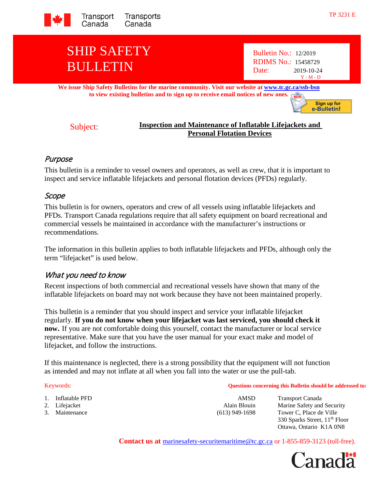

# SHIP SAFETY BULLETIN

Bulletin No.: 12/2019 RDIMS No.: 15458729 Date: 2019-10-24 Y - M - D

**We issue Ship Safety Bulletins for the marine community. Visit our website at [www.tc.gc.ca/ssb-bsn](http://www.tc.gc.ca/ssb-bsn) to view existing bulletins and to sign up to receive email notices of new one[s.](http://www.tc.gc.ca/eng/marinesafety/bulletins-menu-3949.htm)**

Sign up for e-Bulletin!

#### Subject: **Inspection and Maintenance of Inflatable Lifejackets and Personal Flotation Devices**

# Purpose

This bulletin is a reminder to vessel owners and operators, as well as crew, that it is important to inspect and service inflatable lifejackets and personal flotation devices (PFDs) regularly.

### Scope

This bulletin is for owners, operators and crew of all vessels using inflatable lifejackets and PFDs. Transport Canada regulations require that all safety equipment on board recreational and commercial vessels be maintained in accordance with the manufacturer's instructions or recommendations.

The information in this bulletin applies to both inflatable lifejackets and PFDs, although only the term "lifejacket" is used below.

# What you need to know

Recent inspections of both commercial and recreational vessels have shown that many of the inflatable lifejackets on board may not work because they have not been maintained properly.

This bulletin is a reminder that you should inspect and service your inflatable lifejacket regularly. **If you do not know when your lifejacket was last serviced, you should check it now.** If you are not comfortable doing this yourself, contact the manufacturer or local service representative. Make sure that you have the user manual for your exact make and model of lifejacket, and follow the instructions.

If this maintenance is neglected, there is a strong possibility that the equipment will not function as intended and may not inflate at all when you fall into the water or use the pull-tab.

- 1. Inflatable PFD **AMSD** Transport Canada
- 
- 

Keywords: **Questions concerning this Bulletin should be addressed to:**

2. Lifejacket Alain Blouin Marine Safety and Security<br>
2. Maintenance (613) 949-1698 Tower C, Place de Ville  $(613)$  949-1698 Tower C, Place de Ville 330 Sparks Street, 11th Floor Ottawa, Ontario K1A 0N8

**Contact us at** [marinesafety-securitemaritime@tc.gc.ca](mailto:marinesafety-securitymaritime@tc.gc.ca) or 1-855-859-3123 (toll-free).

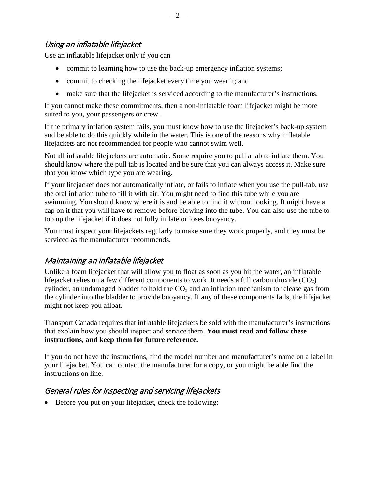Use an inflatable lifejacket only if you can

- commit to learning how to use the back-up emergency inflation systems;
- commit to checking the lifejacket every time you wear it; and
- make sure that the lifejacket is serviced according to the manufacturer's instructions.

If you cannot make these commitments, then a non-inflatable foam lifejacket might be more suited to you, your passengers or crew.

If the primary inflation system fails, you must know how to use the lifejacket's back-up system and be able to do this quickly while in the water. This is one of the reasons why inflatable lifejackets are not recommended for people who cannot swim well.

Not all inflatable lifejackets are automatic. Some require you to pull a tab to inflate them. You should know where the pull tab is located and be sure that you can always access it. Make sure that you know which type you are wearing.

If your lifejacket does not automatically inflate, or fails to inflate when you use the pull-tab, use the oral inflation tube to fill it with air. You might need to find this tube while you are swimming. You should know where it is and be able to find it without looking. It might have a cap on it that you will have to remove before blowing into the tube. You can also use the tube to top up the lifejacket if it does not fully inflate or loses buoyancy.

You must inspect your lifejackets regularly to make sure they work properly, and they must be serviced as the manufacturer recommends.

# Maintaining an inflatable lifejacket

Unlike a foam lifejacket that will allow you to float as soon as you hit the water, an inflatable lifejacket relies on a few different components to work. It needs a full carbon dioxide  $(CO<sub>2</sub>)$ cylinder, an undamaged bladder to hold the  $CO<sub>2</sub>$  and an inflation mechanism to release gas from the cylinder into the bladder to provide buoyancy. If any of these components fails, the lifejacket might not keep you afloat.

Transport Canada requires that inflatable lifejackets be sold with the manufacturer's instructions that explain how you should inspect and service them. **You must read and follow these instructions, and keep them for future reference.**

If you do not have the instructions, find the model number and manufacturer's name on a label in your lifejacket. You can contact the manufacturer for a copy, or you might be able find the instructions on line.

# General rules for inspecting and servicing lifejackets

• Before you put on your lifejacket, check the following: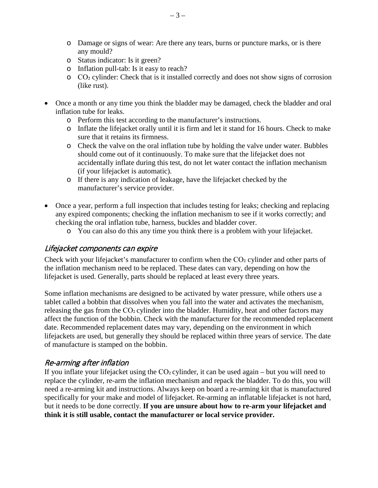- o Damage or signs of wear: Are there any tears, burns or puncture marks, or is there any mould?
- o Status indicator: Is it green?
- o Inflation pull-tab: Is it easy to reach?
- o CO₂ cylinder: Check that is it installed correctly and does not show signs of corrosion (like rust).
- Once a month or any time you think the bladder may be damaged, check the bladder and oral inflation tube for leaks.
	- o Perform this test according to the manufacturer's instructions.
	- o Inflate the lifejacket orally until it is firm and let it stand for 16 hours. Check to make sure that it retains its firmness.
	- o Check the valve on the oral inflation tube by holding the valve under water. Bubbles should come out of it continuously. To make sure that the lifejacket does not accidentally inflate during this test, do not let water contact the inflation mechanism (if your lifejacket is automatic).
	- o If there is any indication of leakage, have the lifejacket checked by the manufacturer's service provider.
- Once a year, perform a full inspection that includes testing for leaks; checking and replacing any expired components; checking the inflation mechanism to see if it works correctly; and checking the oral inflation tube, harness, buckles and bladder cover.
	- o You can also do this any time you think there is a problem with your lifejacket.

#### Lifejacket components can expire

Check with your lifejacket's manufacturer to confirm when the  $CO<sub>2</sub>$  cylinder and other parts of the inflation mechanism need to be replaced. These dates can vary, depending on how the lifejacket is used. Generally, parts should be replaced at least every three years.

Some inflation mechanisms are designed to be activated by water pressure, while others use a tablet called a bobbin that dissolves when you fall into the water and activates the mechanism, releasing the gas from the CO<sub>2</sub> cylinder into the bladder. Humidity, heat and other factors may affect the function of the bobbin. Check with the manufacturer for the recommended replacement date. Recommended replacement dates may vary, depending on the environment in which lifejackets are used, but generally they should be replaced within three years of service. The date of manufacture is stamped on the bobbin.

### Re-arming after inflation

If you inflate your lifejacket using the  $CO<sub>2</sub>$  cylinder, it can be used again – but you will need to replace the cylinder, re-arm the inflation mechanism and repack the bladder. To do this, you will need a re-arming kit and instructions. Always keep on board a re-arming kit that is manufactured specifically for your make and model of lifejacket. Re-arming an inflatable lifejacket is not hard, but it needs to be done correctly. **If you are unsure about how to re-arm your lifejacket and think it is still usable, contact the manufacturer or local service provider.**